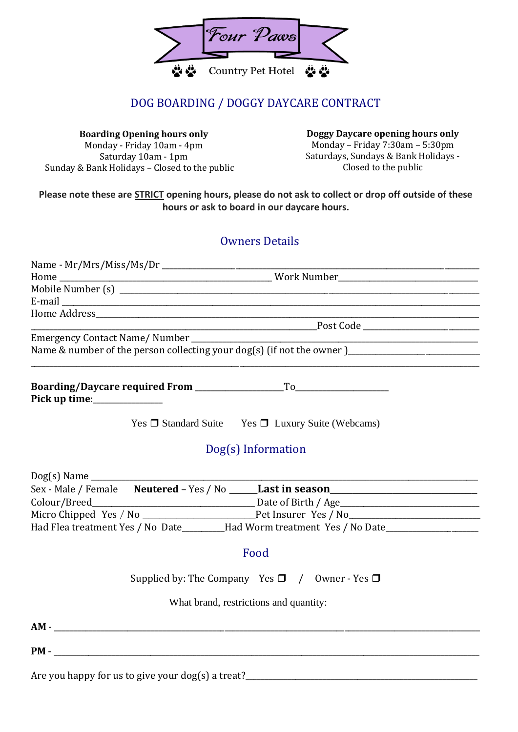

### DOG BOARDING / DOGGY DAYCARE CONTRACT

**Boarding Opening hours only** Monday - Friday 10am - 4pm Saturday 10am - 1pm Sunday & Bank Holidays – Closed to the public **Doggy Daycare opening hours only** Monday – Friday 7:30am – 5:30pm Saturdays, Sundays & Bank Holidays - Closed to the public

#### **Please note these are STRICT opening hours, please do not ask to collect or drop off outside of these hours or ask to board in our daycare hours.**

#### Owners Details

| Pick up time: $\sqrt{ }$                          |                                                                                         |
|---------------------------------------------------|-----------------------------------------------------------------------------------------|
|                                                   | Yes □ Standard Suite Yes □ Luxury Suite (Webcams)                                       |
|                                                   | Dog(s) Information                                                                      |
|                                                   |                                                                                         |
|                                                   | Sex - Male / Female Neutered - Yes / No _____Last in season_____________________        |
|                                                   |                                                                                         |
|                                                   |                                                                                         |
|                                                   | Had Flea treatment Yes / No Date_______Had Worm treatment Yes / No Date________________ |
|                                                   | Food                                                                                    |
|                                                   | Supplied by: The Company Yes $\Box$ / Owner - Yes $\Box$                                |
|                                                   | What brand, restrictions and quantity:                                                  |
|                                                   |                                                                                         |
|                                                   |                                                                                         |
| Are you happy for us to give your dog(s) a treat? |                                                                                         |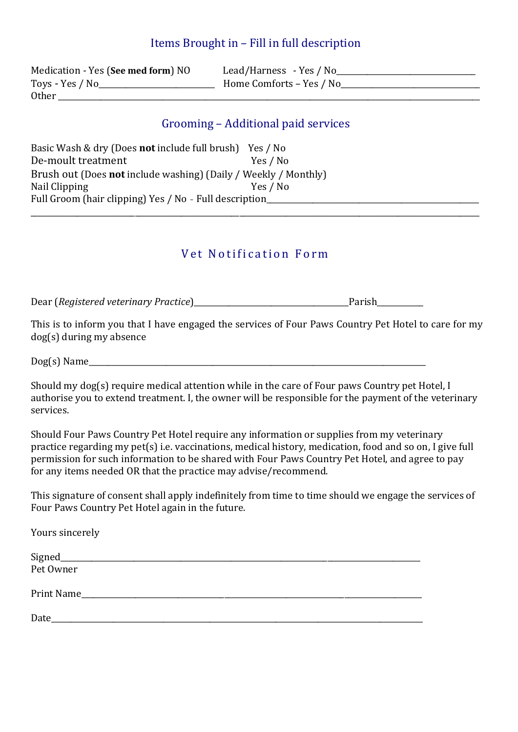### Items Brought in – Fill in full description

Medication - Yes (**See med form**) NO Lead/Harness - Yes / No\_\_\_\_\_\_\_\_\_\_\_\_\_\_\_\_\_\_\_\_\_\_\_\_\_\_\_\_\_\_\_\_\_\_\_\_ Toys - Yes / No\_\_\_\_\_\_\_\_\_\_\_\_\_\_\_\_\_\_\_\_\_\_\_\_\_\_\_\_\_\_ Home Comforts – Yes / No\_\_\_\_\_\_\_\_\_\_\_\_\_\_\_\_\_\_\_\_\_\_\_\_\_\_\_\_\_\_\_\_\_\_\_\_ Other  $\Box$ 

### Grooming – Additional paid services

Basic Wash & dry (Does **not** include full brush) Yes / No De-moult treatment Yes / No Brush out (Does **not** include washing) (Daily / Weekly / Monthly) Nail Clipping Yes / No Full Groom (hair clipping) Yes / No - Full description\_\_\_\_\_\_\_\_\_\_\_\_\_\_\_\_\_\_\_\_\_\_\_\_\_\_ \_\_\_\_\_\_\_\_\_\_\_\_\_\_\_\_\_\_\_\_\_\_\_\_\_\_\_\_\_\_\_\_\_\_\_\_\_\_\_\_\_\_\_\_\_\_\_\_\_\_\_\_\_\_\_\_\_\_\_\_\_\_\_\_\_\_\_\_\_\_\_\_\_\_\_\_\_\_\_\_\_\_\_\_\_\_\_\_\_\_\_\_\_\_\_\_\_\_\_\_\_\_\_\_\_\_\_\_\_\_\_\_\_\_\_\_

## Vet Notification Form

Dear (*Registered veterinary Practice*)\_\_\_\_\_\_\_\_\_\_\_\_\_\_\_\_\_\_\_\_\_\_\_\_\_\_\_\_\_\_\_\_\_\_\_\_\_\_\_\_Parish\_\_\_\_\_\_\_\_\_\_\_\_

This is to inform you that I have engaged the services of Four Paws Country Pet Hotel to care for my dog(s) during my absence

Dog(s) Name\_\_\_\_\_\_\_\_\_\_\_\_\_\_\_\_\_\_\_\_\_\_\_\_\_\_\_\_\_\_\_\_\_\_\_\_\_\_\_\_\_\_\_\_\_\_\_\_\_\_\_\_\_\_\_\_\_\_\_\_\_\_\_\_\_\_\_\_\_\_\_\_\_\_\_\_\_\_\_\_\_\_\_\_\_\_\_

Should my dog(s) require medical attention while in the care of Four paws Country pet Hotel, I authorise you to extend treatment. I, the owner will be responsible for the payment of the veterinary services.

Should Four Paws Country Pet Hotel require any information or supplies from my veterinary practice regarding my pet(s) i.e. vaccinations, medical history, medication, food and so on, I give full permission for such information to be shared with Four Paws Country Pet Hotel, and agree to pay for any items needed OR that the practice may advise/recommend.

This signature of consent shall apply indefinitely from time to time should we engage the services of Four Paws Country Pet Hotel again in the future.

Yours sincerely Signed\_\_\_\_\_\_\_\_\_\_\_\_\_\_\_\_\_\_\_\_\_\_\_\_\_\_\_\_\_\_\_\_\_\_\_\_\_\_\_\_\_\_\_\_\_\_\_\_\_\_\_\_\_\_\_\_\_\_\_\_\_\_\_\_\_\_\_\_\_\_\_\_\_\_\_\_\_\_\_\_\_\_\_\_\_\_\_\_\_\_\_\_\_ Pet Owner Print Name  $\text{Date}$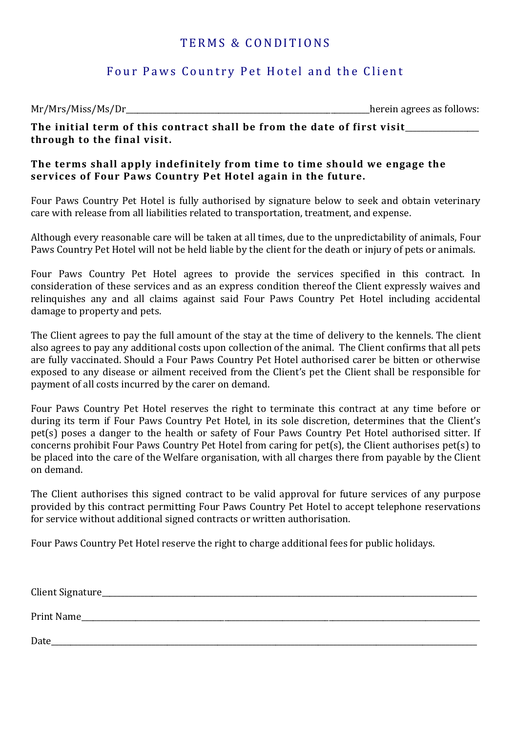### TERMS & CONDITIONS

### Four Paws Country Pet Hotel and the Client

Mr/Mrs/Miss/Ms/Dr\_\_\_\_\_\_\_\_\_\_\_\_\_\_\_\_\_\_\_\_\_\_\_\_\_\_\_\_\_\_\_\_\_\_\_\_\_\_\_\_\_\_\_\_\_\_\_\_\_\_\_\_\_\_\_\_\_\_\_\_\_\_\_herein agrees as follows:

**The initial term of this contract shall be from the date of first visit**\_\_\_\_\_\_\_\_\_\_\_\_\_\_\_\_\_\_\_ **through to the final visit.**

#### **The terms shall apply indefinitely from time to time should we engage the services of Four Paws Country Pet Hotel again in the future.**

Four Paws Country Pet Hotel is fully authorised by signature below to seek and obtain veterinary care with release from all liabilities related to transportation, treatment, and expense.

Although every reasonable care will be taken at all times, due to the unpredictability of animals, Four Paws Country Pet Hotel will not be held liable by the client for the death or injury of pets or animals.

Four Paws Country Pet Hotel agrees to provide the services specified in this contract. In consideration of these services and as an express condition thereof the Client expressly waives and relinquishes any and all claims against said Four Paws Country Pet Hotel including accidental damage to property and pets.

The Client agrees to pay the full amount of the stay at the time of delivery to the kennels. The client also agrees to pay any additional costs upon collection of the animal. The Client confirms that all pets are fully vaccinated. Should a Four Paws Country Pet Hotel authorised carer be bitten or otherwise exposed to any disease or ailment received from the Client's pet the Client shall be responsible for payment of all costs incurred by the carer on demand.

Four Paws Country Pet Hotel reserves the right to terminate this contract at any time before or during its term if Four Paws Country Pet Hotel, in its sole discretion, determines that the Client's pet(s) poses a danger to the health or safety of Four Paws Country Pet Hotel authorised sitter. If concerns prohibit Four Paws Country Pet Hotel from caring for pet(s), the Client authorises pet(s) to be placed into the care of the Welfare organisation, with all charges there from payable by the Client on demand.

The Client authorises this signed contract to be valid approval for future services of any purpose provided by this contract permitting Four Paws Country Pet Hotel to accept telephone reservations for service without additional signed contracts or written authorisation.

Four Paws Country Pet Hotel reserve the right to charge additional fees for public holidays.

| Client Signature_ |  |
|-------------------|--|
| Print Name        |  |
| Date              |  |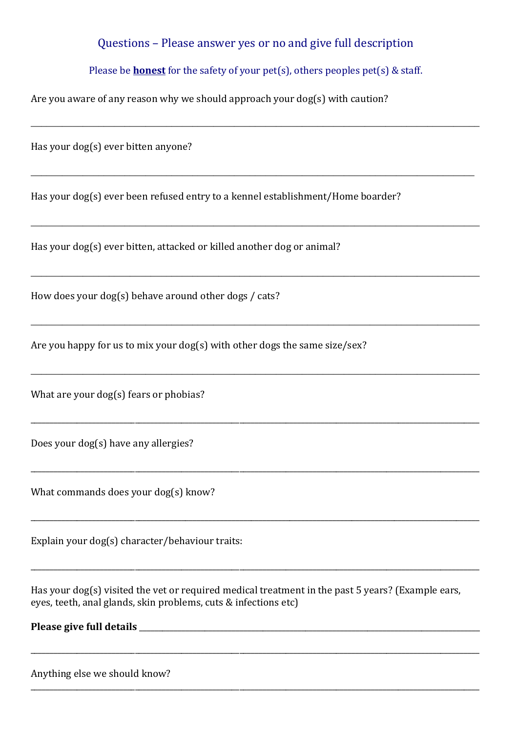### Questions – Please answer yes or no and give full description

#### Please be **honest** for the safety of your pet(s), others peoples pet(s) & staff.

 $\_$  , and the set of the set of the set of the set of the set of the set of the set of the set of the set of the set of the set of the set of the set of the set of the set of the set of the set of the set of the set of th

**\_\_\_\_\_\_\_\_\_\_\_\_\_\_\_\_\_\_\_\_\_\_\_\_\_\_\_\_\_\_\_\_\_\_\_\_\_\_\_\_\_\_\_\_\_\_\_\_\_\_\_\_\_\_\_\_\_\_\_\_\_\_\_\_\_\_\_\_\_\_\_\_\_\_\_\_\_\_\_\_\_\_\_\_\_**

**\_\_\_\_\_\_\_\_\_\_\_\_\_\_\_\_\_\_\_\_\_\_\_\_\_\_\_\_\_\_\_\_\_\_\_\_\_\_\_\_\_\_\_\_\_\_\_\_\_\_\_\_\_\_\_\_\_\_\_\_\_\_\_\_\_\_\_\_\_\_\_\_\_\_\_\_\_\_\_\_\_\_\_\_\_\_**

**\_\_\_\_\_\_\_\_\_\_\_\_\_\_\_\_\_\_\_\_\_\_\_\_\_\_\_\_\_\_\_\_\_\_\_\_\_\_\_\_\_\_\_\_\_\_\_\_\_\_\_\_\_\_\_\_\_\_\_\_\_\_\_\_\_\_\_\_\_\_\_\_\_\_\_\_\_\_\_\_\_\_\_\_\_\_**

**\_\_\_\_\_\_\_\_\_\_\_\_\_\_\_\_\_\_\_\_\_\_\_\_\_\_\_\_\_\_\_\_\_\_\_\_\_\_\_\_\_\_\_\_\_\_\_\_\_\_\_\_\_\_\_\_\_\_\_\_\_\_\_\_\_\_\_\_\_\_\_\_\_\_\_\_\_\_\_\_\_\_\_\_\_\_**

**\_\_\_\_\_\_\_\_\_\_\_\_\_\_\_\_\_\_\_\_\_\_\_\_\_\_\_\_\_\_\_\_\_\_\_\_\_\_\_\_\_\_\_\_\_\_\_\_\_\_\_\_\_\_\_\_\_\_\_\_\_\_\_\_\_\_\_\_\_\_\_\_\_\_\_\_\_\_\_\_\_\_\_\_\_\_**

\_\_\_\_\_\_\_\_\_\_\_\_\_\_\_\_\_\_\_\_\_\_\_\_\_\_\_\_\_\_\_\_\_\_\_\_\_\_\_\_\_\_\_\_\_\_\_\_\_\_\_\_\_\_\_\_\_\_\_\_\_\_\_\_\_\_\_\_\_\_\_\_\_\_\_\_\_\_\_\_\_\_\_\_\_\_\_\_\_\_\_\_\_\_\_\_\_\_\_\_\_\_\_\_\_\_\_\_\_\_\_\_\_\_\_\_

\_\_\_\_\_\_\_\_\_\_\_\_\_\_\_\_\_\_\_\_\_\_\_\_\_\_\_\_\_\_\_\_\_\_\_\_\_\_\_\_\_\_\_\_\_\_\_\_\_\_\_\_\_\_\_\_\_\_\_\_\_\_\_\_\_\_\_\_\_\_\_\_\_\_\_\_\_\_\_\_\_\_\_\_\_\_\_\_\_\_\_\_\_\_\_\_\_\_\_\_\_\_\_\_\_\_\_\_\_\_\_\_\_\_\_\_

\_\_\_\_\_\_\_\_\_\_\_\_\_\_\_\_\_\_\_\_\_\_\_\_\_\_\_\_\_\_\_\_\_\_\_\_\_\_\_\_\_\_\_\_\_\_\_\_\_\_\_\_\_\_\_\_\_\_\_\_\_\_\_\_\_\_\_\_\_\_\_\_\_\_\_\_\_\_\_\_\_\_\_\_\_\_\_\_\_\_\_\_\_\_\_\_\_\_\_\_\_\_\_\_\_\_\_\_\_\_\_\_\_\_\_\_

\_\_\_\_\_\_\_\_\_\_\_\_\_\_\_\_\_\_\_\_\_\_\_\_\_\_\_\_\_\_\_\_\_\_\_\_\_\_\_\_\_\_\_\_\_\_\_\_\_\_\_\_\_\_\_\_\_\_\_\_\_\_\_\_\_\_\_\_\_\_\_\_\_\_\_\_\_\_\_\_\_\_\_\_\_\_\_\_\_\_\_\_\_\_\_\_\_\_\_\_\_\_\_\_\_\_\_\_\_\_\_\_\_\_\_\_

\_\_\_\_\_\_\_\_\_\_\_\_\_\_\_\_\_\_\_\_\_\_\_\_\_\_\_\_\_\_\_\_\_\_\_\_\_\_\_\_\_\_\_\_\_\_\_\_\_\_\_\_\_\_\_\_\_\_\_\_\_\_\_\_\_\_\_\_\_\_\_\_\_\_\_\_\_\_\_\_\_\_\_\_\_\_\_\_\_\_\_\_\_\_\_\_\_\_\_\_\_\_\_\_\_\_\_\_\_\_\_\_\_\_\_\_

\_\_\_\_\_\_\_\_\_\_\_\_\_\_\_\_\_\_\_\_\_\_\_\_\_\_\_\_\_\_\_\_\_\_\_\_\_\_\_\_\_\_\_\_\_\_\_\_\_\_\_\_\_\_\_\_\_\_\_\_\_\_\_\_\_\_\_\_\_\_\_\_\_\_\_\_\_\_\_\_\_\_\_\_\_\_\_\_\_\_\_\_\_\_\_\_\_\_\_\_\_\_\_\_\_\_\_\_\_\_\_\_\_\_\_\_

Are you aware of any reason why we should approach your dog(s) with caution?

Has your dog(s) ever bitten anyone?

Has your dog(s) ever been refused entry to a kennel establishment/Home boarder?

Has your dog(s) ever bitten, attacked or killed another dog or animal?

How does your dog(s) behave around other dogs / cats?

Are you happy for us to mix your dog(s) with other dogs the same size/sex?

What are your dog(s) fears or phobias?

Does your dog(s) have any allergies?

What commands does your dog(s) know?

Explain your dog(s) character/behaviour traits:

Has your dog(s) visited the vet or required medical treatment in the past 5 years? (Example ears, eyes, teeth, anal glands, skin problems, cuts & infections etc)

**Please give full details** \_\_\_\_\_\_\_\_\_\_\_\_\_\_\_\_\_\_\_\_\_\_\_\_\_\_\_\_\_\_\_\_\_\_\_\_\_\_\_\_\_\_\_\_\_\_\_\_\_\_\_\_\_\_\_\_\_\_\_\_\_\_\_\_\_\_\_\_\_\_\_\_\_\_\_\_\_\_\_\_\_\_\_\_\_\_\_\_

Anything else we should know?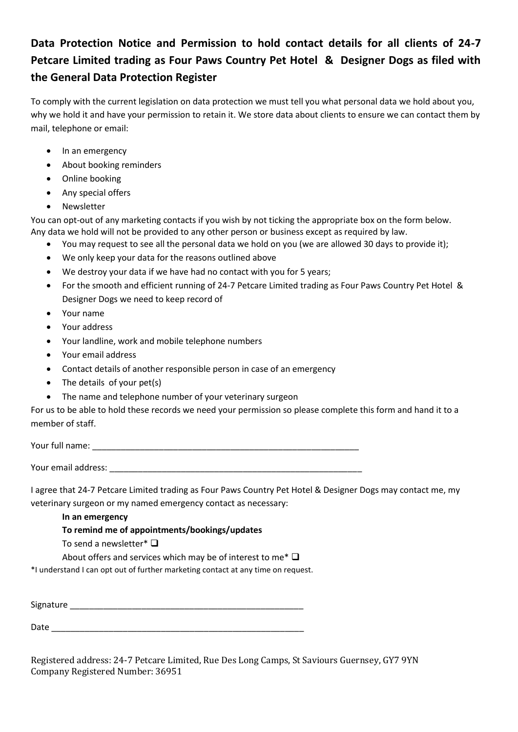# **Data Protection Notice and Permission to hold contact details for all clients of 24-7 Petcare Limited trading as Four Paws Country Pet Hotel & Designer Dogs as filed with the General Data Protection Register**

To comply with the current legislation on data protection we must tell you what personal data we hold about you, why we hold it and have your permission to retain it. We store data about clients to ensure we can contact them by mail, telephone or email:

- In an emergency
- About booking reminders
- Online booking
- Any special offers
- Newsletter

You can opt-out of any marketing contacts if you wish by not ticking the appropriate box on the form below. Any data we hold will not be provided to any other person or business except as required by law.

- You may request to see all the personal data we hold on you (we are allowed 30 days to provide it);
- We only keep your data for the reasons outlined above
- We destroy your data if we have had no contact with you for 5 years;
- For the smooth and efficient running of 24-7 Petcare Limited trading as Four Paws Country Pet Hotel & Designer Dogs we need to keep record of
- Your name
- Your address
- Your landline, work and mobile telephone numbers
- Your email address
- Contact details of another responsible person in case of an emergency
- The details of your pet(s)
- The name and telephone number of your veterinary surgeon

For us to be able to hold these records we need your permission so please complete this form and hand it to a member of staff.

Your full name: \_\_\_\_\_\_\_\_\_\_\_\_\_\_\_\_\_\_\_\_\_\_\_\_\_\_\_\_\_\_\_\_\_\_\_\_\_\_\_\_\_\_\_\_\_\_\_\_\_\_\_\_\_\_\_\_

Your email address:

I agree that 24-7 Petcare Limited trading as Four Paws Country Pet Hotel & Designer Dogs may contact me, my veterinary surgeon or my named emergency contact as necessary:

**In an emergency**

#### **To remind me of appointments/bookings/updates**

To send a newsletter\* ❑

About offers and services which may be of interest to me\* ❑

\*I understand I can opt out of further marketing contact at any time on request.

Signature \_\_\_\_\_\_\_\_\_\_\_\_\_\_\_\_\_\_\_\_\_\_\_\_\_\_\_\_\_\_\_\_\_\_\_\_\_\_\_\_\_\_\_\_\_\_\_\_\_

Date \_\_\_\_\_\_\_\_\_\_\_\_\_\_\_\_\_\_\_\_\_\_\_\_\_\_\_\_\_\_\_\_\_\_\_\_\_\_\_\_\_\_\_\_\_\_\_\_\_\_\_\_\_

Registered address: 24-7 Petcare Limited, Rue Des Long Camps, St Saviours Guernsey, GY7 9YN Company Registered Number: 36951